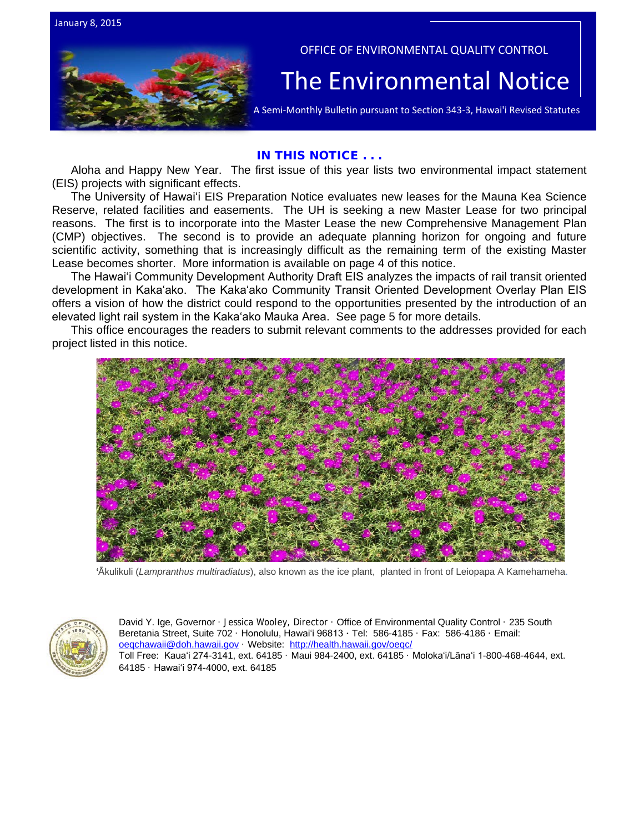



## OFFICE OF ENVIRONMENTAL QUALITY CONTROL

# The  $\bar{\mathsf{Environmental} }$   $\overline{\mathsf{Notice}}$   $|$ <br>A Semi-Monthly Bulletin pursuant to Section 343-3, Hawai'i Revised Statutes

## IN THIS NOTICE . . .

Aloha and Happy New Year. The first issue of this year lists two environmental impact statement (EIS) projects with significant effects.

The University of Hawaiʻi EIS Preparation Notice evaluates new leases for the Mauna Kea Science Reserve, related facilities and easements. The UH is seeking a new Master Lease for two principal reasons. The first is to incorporate into the Master Lease the new Comprehensive Management Plan (CMP) objectives. The second is to provide an adequate planning horizon for ongoing and future scientific activity, something that is increasingly difficult as the remaining term of the existing Master Lease becomes shorter. More information is available on page 4 of this notice.

The Hawaiʻi Community Development Authority Draft EIS analyzes the impacts of rail transit oriented development in Kakaʻako. The Kakaʻako Community Transit Oriented Development Overlay Plan EIS offers a vision of how the district could respond to the opportunities presented by the introduction of an elevated light rail system in the Kakaʻako Mauka Area. See page 5 for more details.

This office encourages the readers to submit relevant comments to the addresses provided for each project listed in this notice.



'Ākulikuli (*Lampranthus multiradiatus*), also known as the ice plant, planted in front of Leiopapa A Kamehameha.



David Y. Ige, Governor · Jessica Wooley, Director · Office of Environmental Quality Control · 235 South Beretania Street, Suite 702 · Honolulu, Hawaiʻi 96813 ∙ Tel: 586-4185 · Fax: 586-4186 · Email: [oeqchawaii@doh.hawaii.gov](mailto:oeqchawaii@doh.hawaii.gov) · Website:<http://health.hawaii.gov/oeqc/> Toll Free: Kauaʻi 274-3141, ext. 64185 · Maui 984-2400, ext. 64185 · Molokaʻi/Lānaʻi 1-800-468-4644, ext. 64185 · Hawaiʻi 974-4000, ext. 64185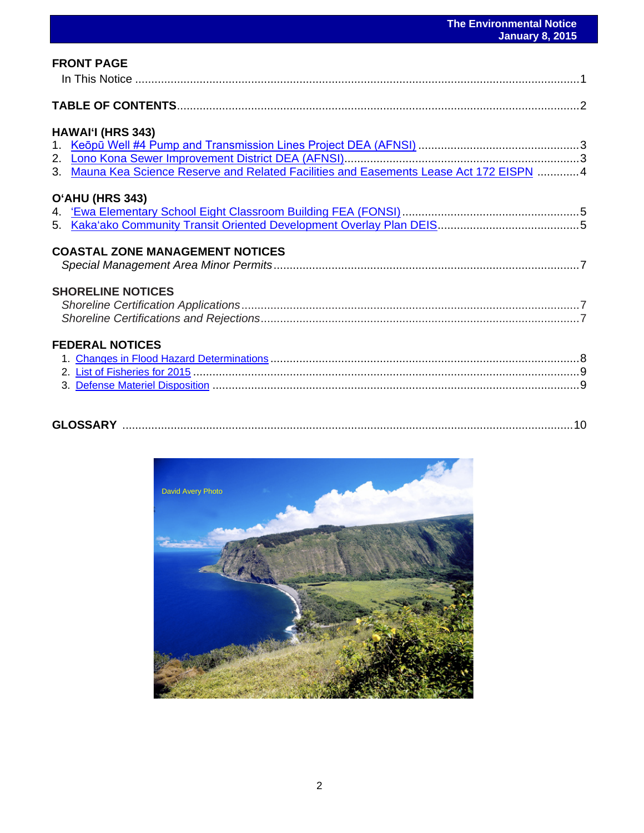| <b>FRONT PAGE</b>                                                                        |  |
|------------------------------------------------------------------------------------------|--|
|                                                                                          |  |
| HAWAI'I (HRS 343)                                                                        |  |
|                                                                                          |  |
|                                                                                          |  |
| 3. Mauna Kea Science Reserve and Related Facilities and Easements Lease Act 172 EISPN  4 |  |
| O'AHU (HRS 343)                                                                          |  |
| <b>COASTAL ZONE MANAGEMENT NOTICES</b>                                                   |  |
| <b>SHORELINE NOTICES</b>                                                                 |  |
| <b>FEDERAL NOTICES</b>                                                                   |  |
|                                                                                          |  |
|                                                                                          |  |

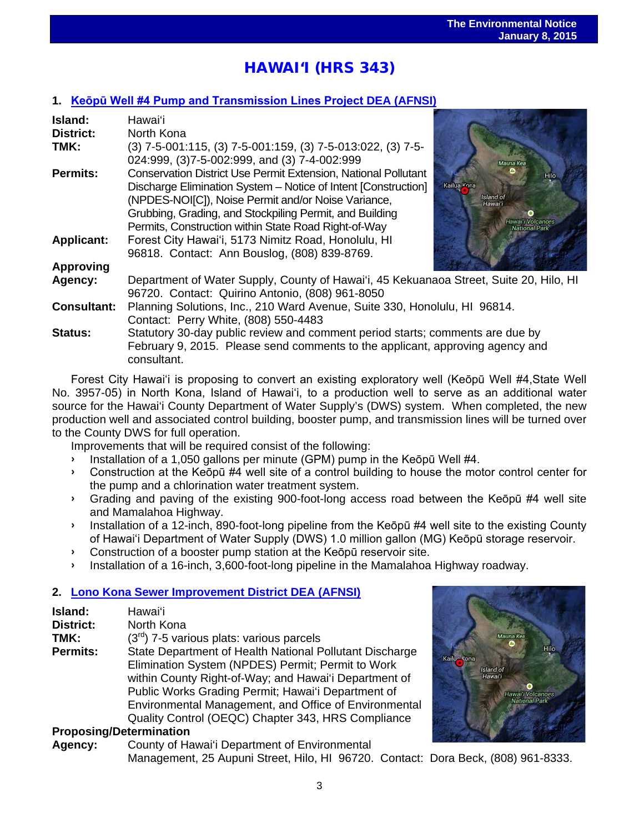# l<br>. HAWAI'I (HRS 343)

# **1. [Keōpū Well #4 Pump and Transmission Lines Project](http://oeqc.doh.hawaii.gov/Shared%20Documents/EA_and_EIS_Online_Library/Hawaii/2010s/2015-01-08-HA-5E-DEA-Keopu-Well-Number-4-Pump-and-Transmission-Lines-Project.pdf) DEA (AFNSI)**

| Island:<br>District: | Hawai'i<br>North Kona                                                                                                                                                                                                                                                                                             |                                                                               |
|----------------------|-------------------------------------------------------------------------------------------------------------------------------------------------------------------------------------------------------------------------------------------------------------------------------------------------------------------|-------------------------------------------------------------------------------|
| TMK:                 | $(3)$ 7-5-001:115, (3) 7-5-001:159, (3) 7-5-013:022, (3) 7-5-<br>024:999, (3)7-5-002:999, and (3) 7-4-002:999                                                                                                                                                                                                     |                                                                               |
| <b>Permits:</b>      | <b>Conservation District Use Permit Extension, National Pollutant</b><br>Discharge Elimination System - Notice of Intent [Construction]<br>(NPDES-NOI[C]), Noise Permit and/or Noise Variance,<br>Grubbing, Grading, and Stockpiling Permit, and Building<br>Permits, Construction within State Road Right-of-Way | Mauna Kea<br>Hilo<br>Kailua Kona<br>Island of<br>Hawai'i<br>Hawai'i Volcanoes |
| <b>Applicant:</b>    | Forest City Hawai'i, 5173 Nimitz Road, Honolulu, HI<br>96818. Contact: Ann Bouslog, (808) 839-8769.                                                                                                                                                                                                               |                                                                               |
| <b>Approving</b>     |                                                                                                                                                                                                                                                                                                                   |                                                                               |
| Agency:              | Department of Water Supply, County of Hawai'i, 45 Kekuanaoa Street, Suite 20, Hilo, HI<br>96720. Contact: Quirino Antonio, (808) 961-8050                                                                                                                                                                         |                                                                               |
| <b>Consultant:</b>   | Planning Solutions, Inc., 210 Ward Avenue, Suite 330, Honolulu, HI 96814.<br>Contact: Perry White, (808) 550-4483                                                                                                                                                                                                 |                                                                               |
| <b>Status:</b>       | Statutory 30-day public review and comment period starts; comments are due by<br>February 9, 2015. Please send comments to the applicant, approving agency and<br>consultant.                                                                                                                                     |                                                                               |

Forest City Hawaiʻi is proposing to convert an existing exploratory well (Keōpū Well #4,State Well No. 3957-05) in North Kona, Island of Hawaiʻi, to a production well to serve as an additional water source for the Hawai'i County Department of Water Supply's (DWS) system. When completed, the new production well and associated control building, booster pump, and transmission lines will be turned over to the County DWS for full operation.

Improvements that will be required consist of the following:

- › Installation of a 1,050 gallons per minute (GPM) pump in the Keōpū Well #4.
- › Construction at the Keōpū #4 well site of a control building to house the motor control center for the pump and a chlorination water treatment system.
- › Grading and paving of the existing 900-foot-long access road between the Keōpū #4 well site and Mamalahoa Highway.
- › Installation of a 12-inch, 890-foot-long pipeline from the Keōpū #4 well site to the existing County of Hawaiʻi Department of Water Supply (DWS) 1.0 million gallon (MG) Keōpū storage reservoir.
- › Construction of a booster pump station at the Keōpū reservoir site.
- › Installation of a 16-inch, 3,600-foot-long pipeline in the Mamalahoa Highway roadway.

# **2. [Lono Kona Sewer Improvement District DEA \(AFNSI\)](http://oeqc.doh.hawaii.gov/Shared%20Documents/EA_and_EIS_Online_Library/Hawaii/2010s/2015-01-08-HA-5B-DEA-Lono-Kona-Sewer-Improvement-District.pdf)**

| Island:          | Hawai'i                                                 |
|------------------|---------------------------------------------------------|
| <b>District:</b> | North Kona                                              |
| TMK:             | $(3rd)$ 7-5 various plats: various parcels              |
| <b>Permits:</b>  | State Department of Health National Pollutant Discharge |
|                  | Elimination System (NPDES) Permit; Permit to Work       |
|                  | within County Right-of-Way; and Hawai'i Department of   |
|                  | Public Works Grading Permit; Hawai'i Department of      |
|                  | Environmental Management, and Office of Environmental   |
|                  | Quality Control (OEQC) Chapter 343, HRS Compliance      |

# **Proposing/Determination**

**Agency:** County of Hawai'i Department of Environmental Management, 25 Aupuni Street, Hilo, HI 96720. Contact: Dora Beck, (808) 961-8333.

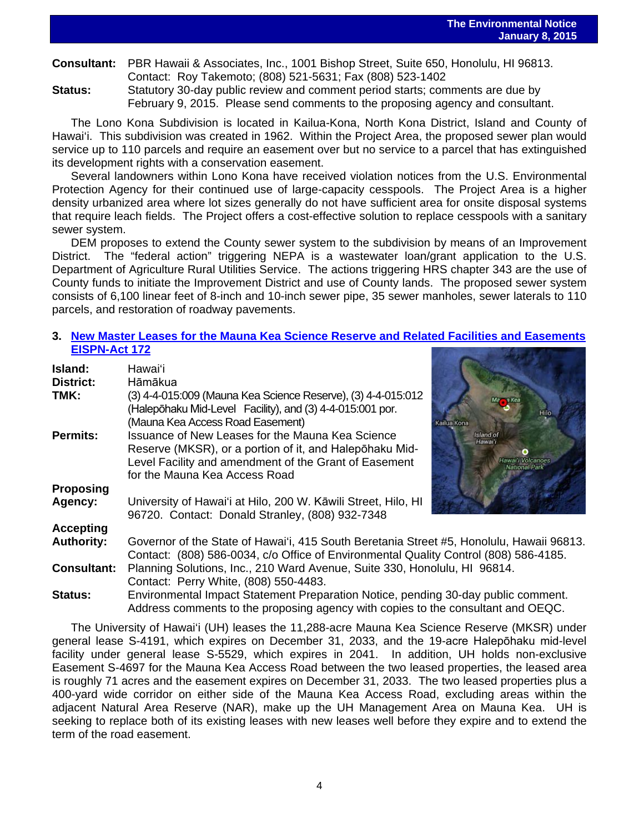**Consultant:** PBR Hawaii & Associates, Inc., 1001 Bishop Street, Suite 650, Honolulu, HI 96813. Contact: Roy Takemoto; (808) 521-5631; Fax (808) 523-1402

**Status:** Statutory 30-day public review and comment period starts; comments are due by February 9, 2015. Please send comments to the proposing agency and consultant.

The Lono Kona Subdivision is located in Kailua-Kona, North Kona District, Island and County of Hawai'i. This subdivision was created in 1962. Within the Project Area, the proposed sewer plan would service up to 110 parcels and require an easement over but no service to a parcel that has extinguished its development rights with a conservation easement.

Several landowners within Lono Kona have received violation notices from the U.S. Environmental Protection Agency for their continued use of large-capacity cesspools. The Project Area is a higher density urbanized area where lot sizes generally do not have sufficient area for onsite disposal systems that require leach fields. The Project offers a cost-effective solution to replace cesspools with a sanitary sewer system.

DEM proposes to extend the County sewer system to the subdivision by means of an Improvement District. The "federal action" triggering NEPA is a wastewater loan/grant application to the U.S. Department of Agriculture Rural Utilities Service. The actions triggering HRS chapter 343 are the use of County funds to initiate the Improvement District and use of County lands. The proposed sewer system consists of 6,100 linear feet of 8-inch and 10-inch sewer pipe, 35 sewer manholes, sewer laterals to 110 parcels, and restoration of roadway pavements.

# **3. [New Master Leases for the Mauna Kea Science Reserve and Related Facilities and Easements](http://oeqc.doh.hawaii.gov/Shared%20Documents/EA_and_EIS_Online_Library/Hawaii/2010s/2015-01-08-HA-5B-EISPN-New-Master-Leases-for-the-Mauna-Kea-Science-Reserve-Related-Facilities-and-Easements.pdf) [EISPN-Act 172](http://oeqc.doh.hawaii.gov/Shared%20Documents/EA_and_EIS_Online_Library/Hawaii/2010s/2015-01-08-HA-5B-EISPN-New-Master-Leases-for-the-Mauna-Kea-Science-Reserve-Related-Facilities-and-Easements.pdf)**

| Island:<br>District: | Hawaiʻi<br>Hāmākua                                                                                                                                                                                    |                                           |  |
|----------------------|-------------------------------------------------------------------------------------------------------------------------------------------------------------------------------------------------------|-------------------------------------------|--|
| TMK:                 | (3) 4-4-015:009 (Mauna Kea Science Reserve), (3) 4-4-015:012<br>(Halepōhaku Mid-Level Facility), and (3) 4-4-015:001 por.<br>(Mauna Kea Access Road Easement)                                         | Kailua Kona                               |  |
| <b>Permits:</b>      | Issuance of New Leases for the Mauna Kea Science<br>Reserve (MKSR), or a portion of it, and Halepohaku Mid-<br>Level Facility and amendment of the Grant of Easement<br>for the Mauna Kea Access Road | Island of<br>Hawai'i<br>lawai'i Volcanoes |  |
| <b>Proposing</b>     |                                                                                                                                                                                                       |                                           |  |
| Agency:              | University of Hawai'i at Hilo, 200 W. Kāwili Street, Hilo, HI<br>96720. Contact: Donald Stranley, (808) 932-7348                                                                                      |                                           |  |
| <b>Accepting</b>     |                                                                                                                                                                                                       |                                           |  |
| <b>Authority:</b>    | Governor of the State of Hawai'i, 415 South Beretania Street #5, Honolulu, Hawaii 96813.<br>Contact: (808) 586-0034, c/o Office of Environmental Quality Control (808) 586-4185.                      |                                           |  |
| <b>Consultant:</b>   | Planning Solutions, Inc., 210 Ward Avenue, Suite 330, Honolulu, HI 96814.<br>Contact: Perry White, (808) 550-4483.                                                                                    |                                           |  |
| <b>Status:</b>       | Environmental Impact Statement Preparation Notice, pending 30-day public comment.<br>Address comments to the proposing agency with copies to the consultant and OEQC.                                 |                                           |  |

The University of Hawai'i (UH) leases the 11,288-acre Mauna Kea Science Reserve (MKSR) under general lease S-4191, which expires on December 31, 2033, and the 19-acre Halepōhaku mid-level facility under general lease S-5529, which expires in 2041. In addition, UH holds non-exclusive Easement S-4697 for the Mauna Kea Access Road between the two leased properties, the leased area is roughly 71 acres and the easement expires on December 31, 2033. The two leased properties plus a 400-yard wide corridor on either side of the Mauna Kea Access Road, excluding areas within the adjacent Natural Area Reserve (NAR), make up the UH Management Area on Mauna Kea. UH is seeking to replace both of its existing leases with new leases well before they expire and to extend the term of the road easement.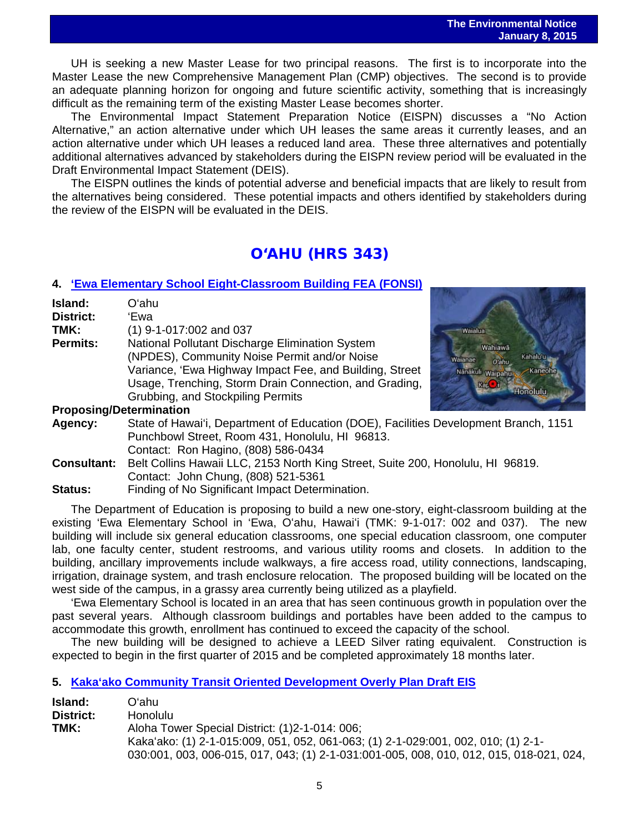UH is seeking a new Master Lease for two principal reasons. The first is to incorporate into the Master Lease the new Comprehensive Management Plan (CMP) objectives. The second is to provide an adequate planning horizon for ongoing and future scientific activity, something that is increasingly difficult as the remaining term of the existing Master Lease becomes shorter.

The Environmental Impact Statement Preparation Notice (EISPN) discusses a "No Action Alternative," an action alternative under which UH leases the same areas it currently leases, and an action alternative under which UH leases a reduced land area. These three alternatives and potentially additional alternatives advanced by stakeholders during the EISPN review period will be evaluated in the Draft Environmental Impact Statement (DEIS).

The EISPN outlines the kinds of potential adverse and beneficial impacts that are likely to result from the alternatives being considered. These potential impacts and others identified by stakeholders during the review of the EISPN will be evaluated in the DEIS.

# O'AHU (HRS 343)

# **4. 'Ewa [Elementary School Eight-Classroom Building FEA \(FONSI\)](http://oeqc.doh.hawaii.gov/Shared%20Documents/EA_and_EIS_Online_Library/Oahu/2010s/2015-01-08-OA-5B-FEA-Ewa-Elementary%20School-Eight-Classroom-Building.pdf)**

| Island:                        | Oʻahu                                                                                |                                                                                 |  |  |
|--------------------------------|--------------------------------------------------------------------------------------|---------------------------------------------------------------------------------|--|--|
| <b>District:</b>               | 'Ewa                                                                                 |                                                                                 |  |  |
| TMK:                           | $(1)$ 9-1-017:002 and 037                                                            | Waialua                                                                         |  |  |
| <b>Permits:</b>                | National Pollutant Discharge Elimination System                                      | Wahiawa                                                                         |  |  |
|                                | (NPDES), Community Noise Permit and/or Noise                                         | Kahalu'u<br>Waianae<br>O'ahu                                                    |  |  |
|                                | Variance, 'Ewa Highway Impact Fee, and Building, Street                              | Kaneohe<br>Nanakuli Waipahu                                                     |  |  |
|                                | Usage, Trenching, Storm Drain Connection, and Grading,                               | <b>Rapt</b>                                                                     |  |  |
|                                | Grubbing, and Stockpiling Permits                                                    | Honolulu.                                                                       |  |  |
| <b>Proposing/Determination</b> |                                                                                      |                                                                                 |  |  |
| Agency:                        | State of Hawai'i, Department of Education (DOE), Facilities Development Branch, 1151 |                                                                                 |  |  |
|                                | Punchbowl Street, Room 431, Honolulu, HI 96813.                                      |                                                                                 |  |  |
|                                | Contact: Ron Hagino, (808) 586-0434                                                  |                                                                                 |  |  |
| <b>Consultant:</b>             |                                                                                      | Belt Collins Hawaii LLC, 2153 North King Street, Suite 200, Honolulu, HI 96819. |  |  |
|                                | Contact: John Chung, (808) 521-5361                                                  |                                                                                 |  |  |
| Status:                        | Finding of No Significant Impact Determination.                                      |                                                                                 |  |  |

The Department of Education is proposing to build a new one-story, eight-classroom building at the existing 'Ewa Elementary School in 'Ewa, Oʻahu, Hawaiʻi (TMK: 9-1-017: 002 and 037). The new building will include six general education classrooms, one special education classroom, one computer lab, one faculty center, student restrooms, and various utility rooms and closets. In addition to the building, ancillary improvements include walkways, a fire access road, utility connections, landscaping, irrigation, drainage system, and trash enclosure relocation. The proposed building will be located on the west side of the campus, in a grassy area currently being utilized as a playfield.

'Ewa Elementary School is located in an area that has seen continuous growth in population over the past several years. Although classroom buildings and portables have been added to the campus to accommodate this growth, enrollment has continued to exceed the capacity of the school.

The new building will be designed to achieve a LEED Silver rating equivalent. Construction is expected to begin in the first quarter of 2015 and be completed approximately 18 months later.

# **5. [Kaka'ako Community Transit Oriented Development](http://oeqc.doh.hawaii.gov/Shared%20Documents/EA_and_EIS_Online_Library/Oahu/2010s/2015-01-08-OA-5B-DEIS-Kakaako-Community-Transit-Oriented-Development-Overlay-Plan.pdf) Overly Plan Draft EIS**

| Island:   | Oʻahu                                                                                   |
|-----------|-----------------------------------------------------------------------------------------|
| District: | <b>Honolulu</b>                                                                         |
| TMK:      | Aloha Tower Special District: (1)2-1-014: 006;                                          |
|           | Kaka'ako: (1) 2-1-015:009, 051, 052, 061-063; (1) 2-1-029:001, 002, 010; (1) 2-1-       |
|           | 030:001, 003, 006-015, 017, 043; (1) 2-1-031:001-005, 008, 010, 012, 015, 018-021, 024, |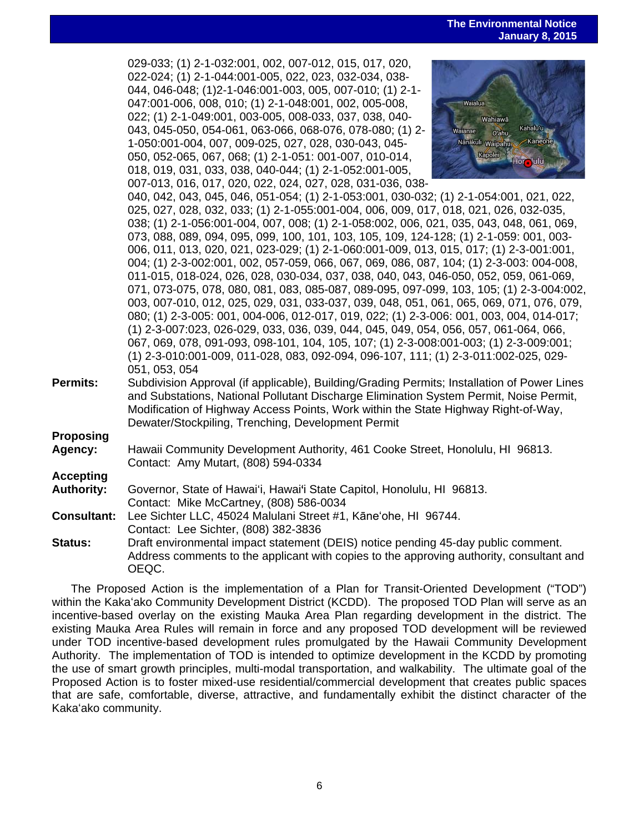**The Environmental Notice January 8, 2015**

 029-033; (1) 2-1-032:001, 002, 007-012, 015, 017, 020, 022-024; (1) 2-1-044:001-005, 022, 023, 032-034, 038- 044, 046-048; (1)2-1-046:001-003, 005, 007-010; (1) 2-1- 047:001-006, 008, 010; (1) 2-1-048:001, 002, 005-008, 022; (1) 2-1-049:001, 003-005, 008-033, 037, 038, 040- 043, 045-050, 054-061, 063-066, 068-076, 078-080; (1) 2- 1-050:001-004, 007, 009-025, 027, 028, 030-043, 045- 050, 052-065, 067, 068; (1) 2-1-051: 001-007, 010-014, 018, 019, 031, 033, 038, 040-044; (1) 2-1-052:001-005, 007-013, 016, 017, 020, 022, 024, 027, 028, 031-036, 038-



040, 042, 043, 045, 046, 051-054; (1) 2-1-053:001, 030-032; (1) 2-1-054:001, 021, 022, 025, 027, 028, 032, 033; (1) 2-1-055:001-004, 006, 009, 017, 018, 021, 026, 032-035, 038; (1) 2-1-056:001-004, 007, 008; (1) 2-1-058:002, 006, 021, 035, 043, 048, 061, 069, 073, 088, 089, 094, 095, 099, 100, 101, 103, 105, 109, 124-128; (1) 2-1-059: 001, 003- 006, 011, 013, 020, 021, 023-029; (1) 2-1-060:001-009, 013, 015, 017; (1) 2-3-001:001, 004; (1) 2-3-002:001, 002, 057-059, 066, 067, 069, 086, 087, 104; (1) 2-3-003: 004-008, 011-015, 018-024, 026, 028, 030-034, 037, 038, 040, 043, 046-050, 052, 059, 061-069, 071, 073-075, 078, 080, 081, 083, 085-087, 089-095, 097-099, 103, 105; (1) 2-3-004:002, 003, 007-010, 012, 025, 029, 031, 033-037, 039, 048, 051, 061, 065, 069, 071, 076, 079, 080; (1) 2-3-005: 001, 004-006, 012-017, 019, 022; (1) 2-3-006: 001, 003, 004, 014-017; (1) 2-3-007:023, 026-029, 033, 036, 039, 044, 045, 049, 054, 056, 057, 061-064, 066, 067, 069, 078, 091-093, 098-101, 104, 105, 107; (1) 2-3-008:001-003; (1) 2-3-009:001; (1) 2-3-010:001-009, 011-028, 083, 092-094, 096-107, 111; (1) 2-3-011:002-025, 029- 051, 053, 054

**Permits:** Subdivision Approval (if applicable), Building/Grading Permits; Installation of Power Lines and Substations, National Pollutant Discharge Elimination System Permit, Noise Permit, Modification of Highway Access Points, Work within the State Highway Right-of-Way, Dewater/Stockpiling, Trenching, Development Permit

**Proposing**

**Agency:** Hawaii Community Development Authority, 461 Cooke Street, Honolulu, HI 96813. Contact: Amy Mutart, (808) 594-0334

# **Accepting**

**Authority:** Governor, State of Hawai'i, Hawai'i State Capitol, Honolulu, HI 96813. Contact: Mike McCartney, (808) 586-0034

- **Consultant:** Lee Sichter LLC, 45024 Malulani Street #1, Kāneʻohe, HI 96744. Contact: Lee Sichter, (808) 382-3836
- **Status:** Draft environmental impact statement (DEIS) notice pending 45-day public comment. Address comments to the applicant with copies to the approving authority, consultant and OEQC.

The Proposed Action is the implementation of a Plan for Transit-Oriented Development ("TOD") within the Kakaʻako Community Development District (KCDD). The proposed TOD Plan will serve as an incentive-based overlay on the existing Mauka Area Plan regarding development in the district. The existing Mauka Area Rules will remain in force and any proposed TOD development will be reviewed under TOD incentive-based development rules promulgated by the Hawaii Community Development Authority. The implementation of TOD is intended to optimize development in the KCDD by promoting the use of smart growth principles, multi-modal transportation, and walkability. The ultimate goal of the Proposed Action is to foster mixed-use residential/commercial development that creates public spaces that are safe, comfortable, diverse, attractive, and fundamentally exhibit the distinct character of the Kakaʻako community.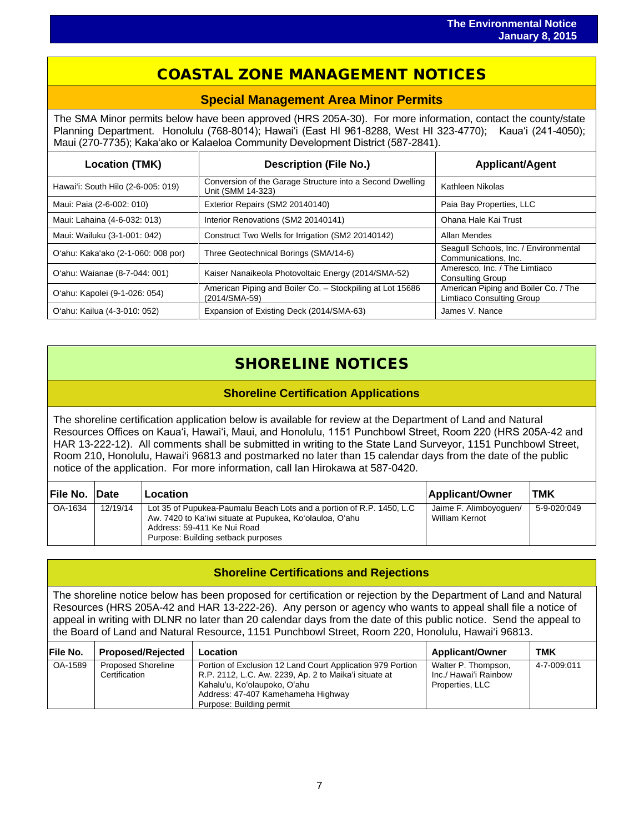# COASTAL ZONE MANAGEMENT NOTICES

 $\overline{a}$ 

# **Special Management Area Minor Permits**

The SMA Minor permits below have been approved (HRS 205A-30). For more information, contact the county/state Planning Department. Honolulu (768-8014); Hawaiʻi (East HI 961-8288, West HI 323-4770); Kauaʻi (241-4050); Maui (270-7735); Kakaʻako or Kalaeloa Community Development District (587-2841).

| <b>Location (TMK)</b>              | <b>Description (File No.)</b>                                                  | <b>Applicant/Agent</b>                                            |  |
|------------------------------------|--------------------------------------------------------------------------------|-------------------------------------------------------------------|--|
| Hawai'i: South Hilo (2-6-005: 019) | Conversion of the Garage Structure into a Second Dwelling<br>Unit (SMM 14-323) | Kathleen Nikolas                                                  |  |
| Maui: Paia (2-6-002: 010)          | Exterior Repairs (SM2 20140140)                                                | Paia Bay Properties, LLC                                          |  |
| Maui: Lahaina (4-6-032: 013)       | Interior Renovations (SM2 20140141)                                            | Ohana Hale Kai Trust                                              |  |
| Maui: Wailuku (3-1-001: 042)       | Construct Two Wells for Irrigation (SM2 20140142)                              | Allan Mendes                                                      |  |
| O'ahu: Kaka'ako (2-1-060: 008 por) | Three Geotechnical Borings (SMA/14-6)                                          | Seagull Schools, Inc. / Environmental<br>Communications, Inc.     |  |
| O'ahu: Waianae (8-7-044: 001)      | Kaiser Nanaikeola Photovoltaic Energy (2014/SMA-52)                            | Ameresco, Inc. / The Limtiaco<br><b>Consulting Group</b>          |  |
| O'ahu: Kapolei (9-1-026: 054)      | American Piping and Boiler Co. - Stockpiling at Lot 15686<br>(2014/SMA-59)     | American Piping and Boiler Co. / The<br>Limtiaco Consulting Group |  |
| O'ahu: Kailua (4-3-010: 052)       | Expansion of Existing Deck (2014/SMA-63)                                       | James V. Nance                                                    |  |

# SHORELINE NOTICES

# **Shoreline Certification Applications**

The shoreline certification application below is available for review at the Department of Land and Natural Resources Offices on Kauaʻi, Hawaiʻi, Maui, and Honolulu, 1151 Punchbowl Street, Room 220 (HRS 205A-42 and HAR 13-222-12). All comments shall be submitted in writing to the State Land Surveyor, 1151 Punchbowl Street, Room 210, Honolulu, Hawai'i 96813 and postmarked no later than 15 calendar days from the date of the public notice of the application. For more information, call Ian Hirokawa at 587-0420.

| File No. Date |          | Location                                                                                                                                                                                              | Applicant/Owner                                 | <b>TMK</b>  |
|---------------|----------|-------------------------------------------------------------------------------------------------------------------------------------------------------------------------------------------------------|-------------------------------------------------|-------------|
| OA-1634       | 12/19/14 | Lot 35 of Pupukea-Paumalu Beach Lots and a portion of R.P. 1450, L.C<br>Aw. 7420 to Ka'iwi situate at Pupukea, Ko'olauloa, O'ahu<br>Address: 59-411 Ke Nui Road<br>Purpose: Building setback purposes | Jaime F. Alimboyoguen/<br><b>William Kernot</b> | 5-9-020:049 |

# **Shoreline Certifications and Rejections**

The shoreline notice below has been proposed for certification or rejection by the Department of Land and Natural Resources (HRS 205A-42 and HAR 13-222-26). Any person or agency who wants to appeal shall file a notice of appeal in writing with DLNR no later than 20 calendar days from the date of this public notice. Send the appeal to the Board of Land and Natural Resource, 1151 Punchbowl Street, Room 220, Honolulu, Hawai'i 96813.

| <b>IFile No.</b> | <b>Proposed/Rejected</b>                   | Location                                                                                                                                                                                                              | <b>Applicant/Owner</b>                                          | тмк         |
|------------------|--------------------------------------------|-----------------------------------------------------------------------------------------------------------------------------------------------------------------------------------------------------------------------|-----------------------------------------------------------------|-------------|
| OA-1589          | <b>Proposed Shoreline</b><br>Certification | Portion of Exclusion 12 Land Court Application 979 Portion<br>R.P. 2112, L.C. Aw. 2239, Ap. 2 to Maika'i situate at<br>Kahalu'u, Ko'olaupoko, O'ahu<br>Address: 47-407 Kamehameha Highway<br>Purpose: Building permit | Walter P. Thompson,<br>Inc./ Hawai'i Rainbow<br>Properties, LLC | 4-7-009:011 |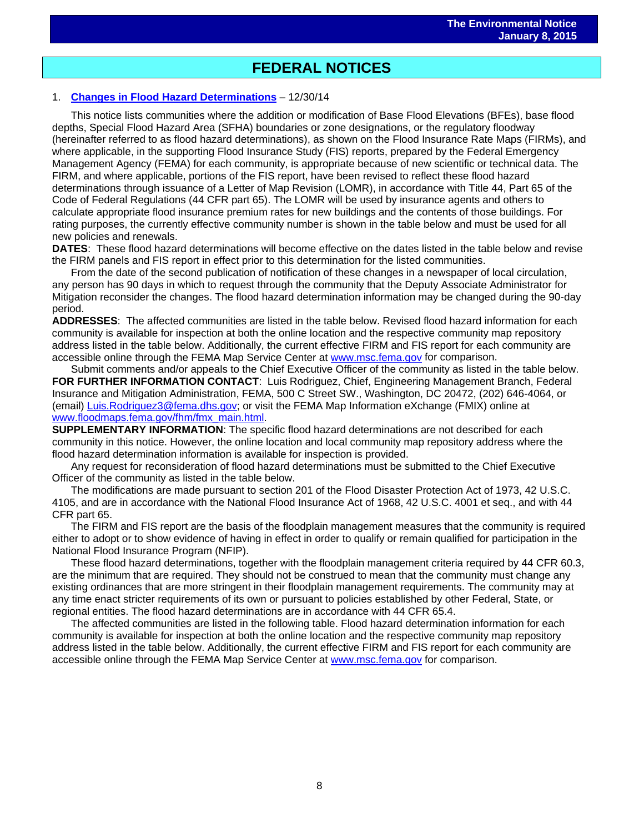# $\overline{a}$ **FEDERAL NOTICES**

### 1. **Changes in Flood Hazard [Determinations](http://www.gpo.gov/fdsys/pkg/FR-2014-12-30/pdf/2014-30532.pdf)** – 12/30/14

This notice lists communities where the addition or modification of Base Flood Elevations (BFEs), base flood depths, Special Flood Hazard Area (SFHA) boundaries or zone designations, or the regulatory floodway (hereinafter referred to as flood hazard determinations), as shown on the Flood Insurance Rate Maps (FIRMs), and where applicable, in the supporting Flood Insurance Study (FIS) reports, prepared by the Federal Emergency Management Agency (FEMA) for each community, is appropriate because of new scientific or technical data. The FIRM, and where applicable, portions of the FIS report, have been revised to reflect these flood hazard determinations through issuance of a Letter of Map Revision (LOMR), in accordance with Title 44, Part 65 of the Code of Federal Regulations (44 CFR part 65). The LOMR will be used by insurance agents and others to calculate appropriate flood insurance premium rates for new buildings and the contents of those buildings. For rating purposes, the currently effective community number is shown in the table below and must be used for all new policies and renewals.

**DATES**: These flood hazard determinations will become effective on the dates listed in the table below and revise the FIRM panels and FIS report in effect prior to this determination for the listed communities.

From the date of the second publication of notification of these changes in a newspaper of local circulation, any person has 90 days in which to request through the community that the Deputy Associate Administrator for Mitigation reconsider the changes. The flood hazard determination information may be changed during the 90-day period.

**ADDRESSES**: The affected communities are listed in the table below. Revised flood hazard information for each community is available for inspection at both the online location and the respective community map repository address listed in the table below. Additionally, the current effective FIRM and FIS report for each community are accessible online through the FEMA Map Service Center at [www.msc.fema.gov](http://www.msc.fema.gov/) for comparison.

Submit comments and/or appeals to the Chief Executive Officer of the community as listed in the table below. **FOR FURTHER INFORMATION CONTACT**: Luis Rodriguez, Chief, Engineering Management Branch, Federal Insurance and Mitigation Administration, FEMA, 500 C Street SW., Washington, DC 20472, (202) 646-4064, or (email) [Luis.Rodriguez3@fema.dhs.gov;](mailto:Luis.Rodriguez3@fema.dhs.gov) or visit the FEMA Map Information eXchange (FMIX) online at [www.floodmaps.fema.gov/fhm/fmx\\_main.html.](http://www.floodmaps.fema.gov/fhm/fmx_main.html)

**SUPPLEMENTARY INFORMATION**: The specific flood hazard determinations are not described for each community in this notice. However, the online location and local community map repository address where the flood hazard determination information is available for inspection is provided.

Any request for reconsideration of flood hazard determinations must be submitted to the Chief Executive Officer of the community as listed in the table below.

The modifications are made pursuant to section 201 of the Flood Disaster Protection Act of 1973, 42 U.S.C. 4105, and are in accordance with the National Flood Insurance Act of 1968, 42 U.S.C. 4001 et seq., and with 44 CFR part 65.

The FIRM and FIS report are the basis of the floodplain management measures that the community is required either to adopt or to show evidence of having in effect in order to qualify or remain qualified for participation in the National Flood Insurance Program (NFIP).

These flood hazard determinations, together with the floodplain management criteria required by 44 CFR 60.3, are the minimum that are required. They should not be construed to mean that the community must change any existing ordinances that are more stringent in their floodplain management requirements. The community may at any time enact stricter requirements of its own or pursuant to policies established by other Federal, State, or regional entities. The flood hazard determinations are in accordance with 44 CFR 65.4.

The affected communities are listed in the following table. Flood hazard determination information for each community is available for inspection at both the online location and the respective community map repository address listed in the table below. Additionally, the current effective FIRM and FIS report for each community are accessible online through the FEMA Map Service Center at [www.msc.fema.gov](http://www.msc.fema.gov/) for comparison.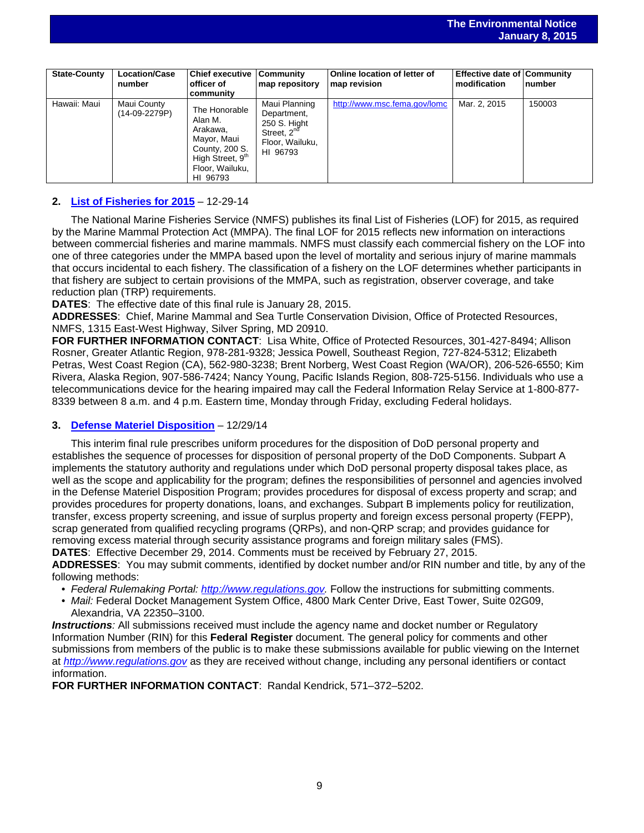| <b>State-County</b> | <b>Location/Case</b><br>number | <b>Chief executive</b><br>officer of<br>community                                                                                    | <b>Community</b><br>map repository                                                                     | Online location of letter of<br>map revision | <b>Effective date of Community</b><br>modification | <b>Inumber</b> |
|---------------------|--------------------------------|--------------------------------------------------------------------------------------------------------------------------------------|--------------------------------------------------------------------------------------------------------|----------------------------------------------|----------------------------------------------------|----------------|
| Hawaii: Maui        | Maui County<br>$(14-09-2279P)$ | The Honorable<br>Alan M.<br>Arakawa,<br>Mayor, Maui<br>County, 200 S.<br>High Street, 9 <sup>th</sup><br>Floor, Wailuku,<br>HI 96793 | Maui Planning<br>Department,<br>250 S. Hight<br>Street, 2 <sup>nd</sup><br>Floor, Wailuku,<br>HI 96793 | http://www.msc.fema.gov/lomc                 | Mar. 2, 2015                                       | 150003         |

 $\overline{a}$ 

## **2. [List of Fisheries for 2015](http://www.gpo.gov/fdsys/pkg/FR-2014-12-29/pdf/2014-30375.pdf)** – 12-29-14

The National Marine Fisheries Service (NMFS) publishes its final List of Fisheries (LOF) for 2015, as required by the Marine Mammal Protection Act (MMPA). The final LOF for 2015 reflects new information on interactions between commercial fisheries and marine mammals. NMFS must classify each commercial fishery on the LOF into one of three categories under the MMPA based upon the level of mortality and serious injury of marine mammals that occurs incidental to each fishery. The classification of a fishery on the LOF determines whether participants in that fishery are subject to certain provisions of the MMPA, such as registration, observer coverage, and take reduction plan (TRP) requirements.

**DATES**: The effective date of this final rule is January 28, 2015.

**ADDRESSES**: Chief, Marine Mammal and Sea Turtle Conservation Division, Office of Protected Resources, NMFS, 1315 East-West Highway, Silver Spring, MD 20910.

**FOR FURTHER INFORMATION CONTACT**: Lisa White, Office of Protected Resources, 301-427-8494; Allison Rosner, Greater Atlantic Region, 978-281-9328; Jessica Powell, Southeast Region, 727-824-5312; Elizabeth Petras, West Coast Region (CA), 562-980-3238; Brent Norberg, West Coast Region (WA/OR), 206-526-6550; Kim Rivera, Alaska Region, 907-586-7424; Nancy Young, Pacific Islands Region, 808-725-5156. Individuals who use a telecommunications device for the hearing impaired may call the Federal Information Relay Service at 1-800-877- 8339 between 8 a.m. and 4 p.m. Eastern time, Monday through Friday, excluding Federal holidays.

# **3. Defense Materiel [Disposition](http://www.gpo.gov/fdsys/pkg/FR-2014-12-29/pdf/2014-29251.pdf)** – 12/29/14

This interim final rule prescribes uniform procedures for the disposition of DoD personal property and establishes the sequence of processes for disposition of personal property of the DoD Components. Subpart A implements the statutory authority and regulations under which DoD personal property disposal takes place, as well as the scope and applicability for the program; defines the responsibilities of personnel and agencies involved in the Defense Materiel Disposition Program; provides procedures for disposal of excess property and scrap; and provides procedures for property donations, loans, and exchanges. Subpart B implements policy for reutilization, transfer, excess property screening, and issue of surplus property and foreign excess personal property (FEPP), scrap generated from qualified recycling programs (QRPs), and non-QRP scrap; and provides guidance for removing excess material through security assistance programs and foreign military sales (FMS). **DATES**: Effective December 29, 2014. Comments must be received by February 27, 2015.

**ADDRESSES**: You may submit comments, identified by docket number and/or RIN number and title, by any of the following methods:

- *Federal Rulemaking Portal: [http://www.regulations.gov.](http://www.regulations.gov/)* Follow the instructions for submitting comments.
- *Mail:* Federal Docket Management System Office, 4800 Mark Center Drive, East Tower, Suite 02G09, Alexandria, VA 22350–3100.

**Instructions**: All submissions received must include the agency name and docket number or Regulatory Information Number (RIN) for this **Federal Register** document. The general policy for comments and other submissions from members of the public is to make these submissions available for public viewing on the Internet at *[http://www.regulations.gov](http://www.regulations.gov/)* as they are received without change, including any personal identifiers or contact information.

**FOR FURTHER INFORMATION CONTACT**: Randal Kendrick, 571–372–5202.